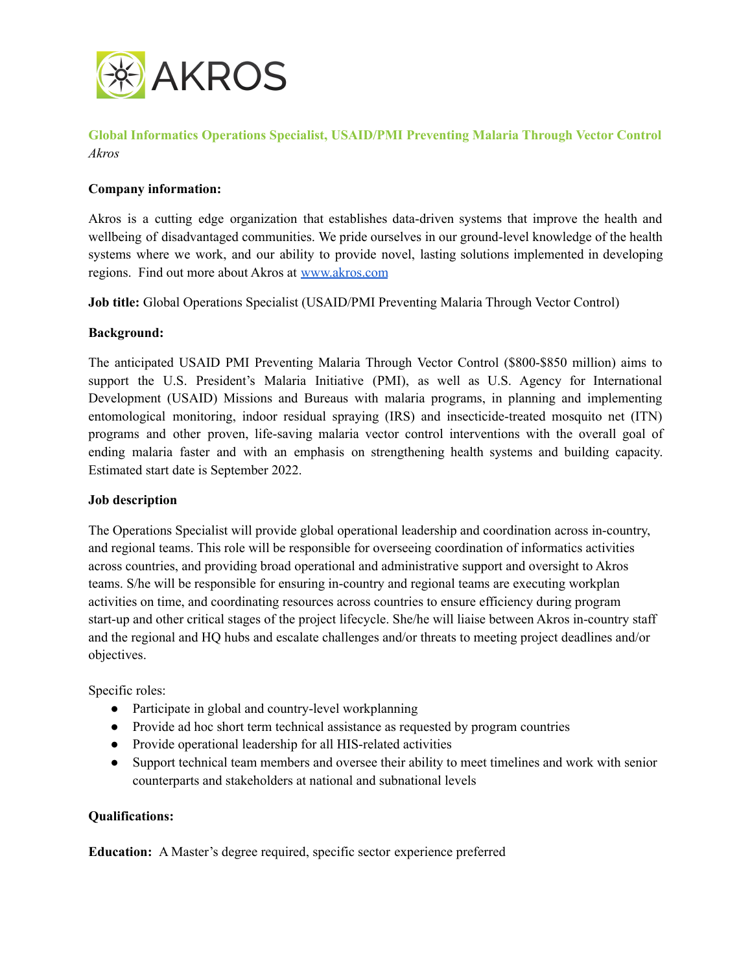

**Global Informatics Operations Specialist, USAID/PMI Preventing Malaria Through Vector Control** *Akros*

### **Company information:**

Akros is a cutting edge organization that establishes data-driven systems that improve the health and wellbeing of disadvantaged communities. We pride ourselves in our ground-level knowledge of the health systems where we work, and our ability to provide novel, lasting solutions implemented in developing regions. Find out more about Akros at [www.akros.com](http://www.akros.com)

**Job title:** Global Operations Specialist (USAID/PMI Preventing Malaria Through Vector Control)

#### **Background:**

The anticipated USAID PMI Preventing Malaria Through Vector Control (\$800-\$850 million) aims to support the U.S. President's Malaria Initiative (PMI), as well as U.S. Agency for International Development (USAID) Missions and Bureaus with malaria programs, in planning and implementing entomological monitoring, indoor residual spraying (IRS) and insecticide-treated mosquito net (ITN) programs and other proven, life-saving malaria vector control interventions with the overall goal of ending malaria faster and with an emphasis on strengthening health systems and building capacity. Estimated start date is September 2022.

#### **Job description**

The Operations Specialist will provide global operational leadership and coordination across in-country, and regional teams. This role will be responsible for overseeing coordination of informatics activities across countries, and providing broad operational and administrative support and oversight to Akros teams. S/he will be responsible for ensuring in-country and regional teams are executing workplan activities on time, and coordinating resources across countries to ensure efficiency during program start-up and other critical stages of the project lifecycle. She/he will liaise between Akros in-country staff and the regional and HQ hubs and escalate challenges and/or threats to meeting project deadlines and/or objectives.

Specific roles:

- Participate in global and country-level workplanning
- Provide ad hoc short term technical assistance as requested by program countries
- Provide operational leadership for all HIS-related activities
- Support technical team members and oversee their ability to meet timelines and work with senior counterparts and stakeholders at national and subnational levels

#### **Qualifications:**

**Education:** A Master's degree required, specific sector experience preferred